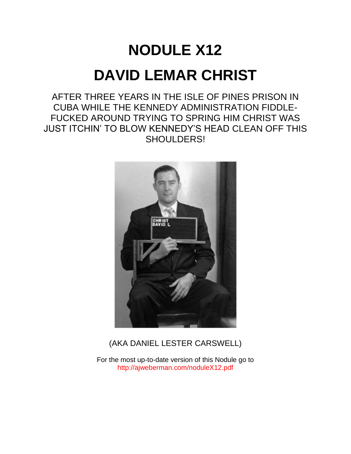# **NODULE X12 DAVID LEMAR CHRIST**

AFTER THREE YEARS IN THE ISLE OF PINES PRISON IN CUBA WHILE THE KENNEDY ADMINISTRATION FIDDLE-FUCKED AROUND TRYING TO SPRING HIM CHRIST WAS JUST ITCHIN' TO BLOW KENNEDY'S HEAD CLEAN OFF THIS SHOULDERS!



# (AKA DANIEL LESTER CARSWELL)

For the most up-to-date version of this Nodule go to <http://ajweberman.com/noduleX12.pdf>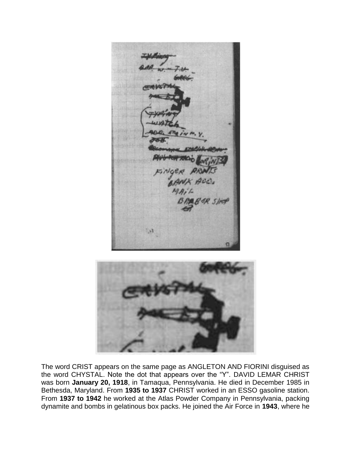ANX ACC.  $\mathcal{M}$ 

The word CRIST appears on the same page as ANGLETON AND FIORINI disguised as the word CHYSTAL. Note the dot that appears over the "Y". DAVID LEMAR CHRIST was born **January 20, 1918**, in Tamaqua, Pennsylvania. He died in December 1985 in Bethesda, Maryland. From **1935 to 1937** CHRIST worked in an ESSO gasoline station. From **1937 to 1942** he worked at the Atlas Powder Company in Pennsylvania, packing dynamite and bombs in gelatinous box packs. He joined the Air Force in **1943**, where he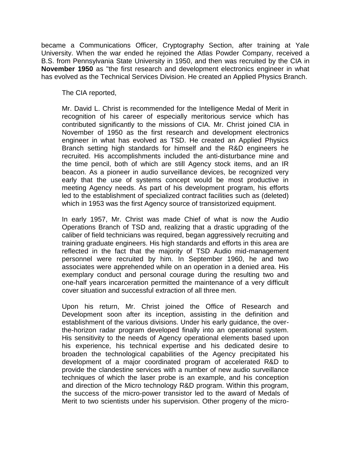became a Communications Officer, Cryptography Section, after training at Yale University. When the war ended he rejoined the Atlas Powder Company, received a B.S. from Pennsylvania State University in 1950, and then was recruited by the CIA in **November 1950** as "the first research and development electronics engineer in what has evolved as the Technical Services Division. He created an Applied Physics Branch.

The CIA reported,

Mr. David L. Christ is recommended for the Intelligence Medal of Merit in recognition of his career of especially meritorious service which has contributed significantly to the missions of CIA. Mr. Christ joined CIA in November of 1950 as the first research and development electronics engineer in what has evolved as TSD. He created an Applied Physics Branch setting high standards for himself and the R&D engineers he recruited. His accomplishments included the anti-disturbance mine and the time pencil, both of which are still Agency stock items, and an IR beacon. As a pioneer in audio surveillance devices, be recognized very early that the use of systems concept would be most productive in meeting Agency needs. As part of his development program, his efforts led to the establishment of specialized contract facilities such as (deleted) which in 1953 was the first Agency source of transistorized equipment.

In early 1957, Mr. Christ was made Chief of what is now the Audio Operations Branch of TSD and, realizing that a drastic upgrading of the caliber of field technicians was required, began aggressively recruiting and training graduate engineers. His high standards and efforts in this area are reflected in the fact that the majority of TSD Audio mid-management personnel were recruited by him. In September 1960, he and two associates were apprehended while on an operation in a denied area. His exemplary conduct and personal courage during the resulting two and one-half years incarceration permitted the maintenance of a very difficult cover situation and successful extraction of all three men.

Upon his return, Mr. Christ joined the Office of Research and Development soon after its inception, assisting in the definition and establishment of the various divisions. Under his early guidance, the overthe-horizon radar program developed finally into an operational system. His sensitivity to the needs of Agency operational elements based upon his experience, his technical expertise and his dedicated desire to broaden the technological capabilities of the Agency precipitated his development of a major coordinated program of accelerated R&D to provide the clandestine services with a number of new audio surveillance techniques of which the laser probe is an example, and his conception and direction of the Micro technology R&D program. Within this program, the success of the micro-power transistor led to the award of Medals of Merit to two scientists under his supervision. Other progeny of the micro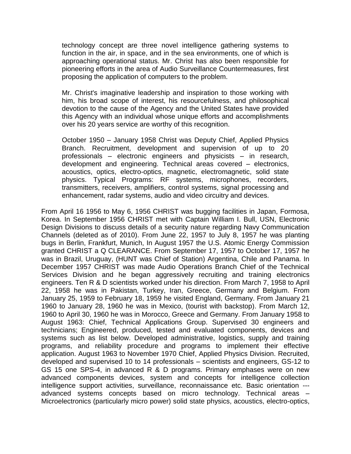technology concept are three novel intelligence gathering systems to function in the air, in space, and in the sea environments, one of which is approaching operational status. Mr. Christ has also been responsible for pioneering efforts in the area of Audio Surveillance Countermeasures, first proposing the application of computers to the problem.

Mr. Christ's imaginative leadership and inspiration to those working with him, his broad scope of interest, his resourcefulness, and philosophical devotion to the cause of the Agency and the United States have provided this Agency with an individual whose unique efforts and accomplishments over his 20 years service are worthy of this recognition.

October 1950 – January 1958 Christ was Deputy Chief, Applied Physics Branch. Recruitment, development and supervision of up to 20 professionals – electronic engineers and physicists – in research, development and engineering. Technical areas covered – electronics, acoustics, optics, electro-optics, magnetic, electromagnetic, solid state physics. Typical Programs: RF systems, microphones, recorders, transmitters, receivers, amplifiers, control systems, signal processing and enhancement, radar systems, audio and video circuitry and devices.

From April 16 1956 to May 6, 1956 CHRIST was bugging facilities in Japan, Formosa, Korea. In September 1956 CHRIST met with Captain William I. Bull, USN, Electronic Design Divisions to discuss details of a security nature regarding Navy Communication Channels (deleted as of 2010). From June 22, 1957 to July 8, 1957 he was planting bugs in Berlin, Frankfurt, Munich, In August 1957 the U.S. Atomic Energy Commission granted CHRIST a Q CLEARANCE. From September 17, 1957 to October 17, 1957 he was in Brazil, Uruguay, (HUNT was Chief of Station) Argentina, Chile and Panama. In December 1957 CHRIST was made Audio Operations Branch Chief of the Technical Services Division and he began aggressively recruiting and training electronics engineers. Ten R & D scientists worked under his direction. From March 7, 1958 to April 22, 1958 he was in Pakistan, Turkey, Iran, Greece, Germany and Belgium. From January 25, 1959 to February 18, 1959 he visited England, Germany. From January 21 1960 to January 28, 1960 he was in Mexico, (tourist with backstop). From March 12, 1960 to April 30, 1960 he was in Morocco, Greece and Germany. From January 1958 to August 1963: Chief, Technical Applications Group. Supervised 30 engineers and technicians; Engineered, produced, tested and evaluated components, devices and systems such as list below. Developed administrative, logistics, supply and training programs, and reliability procedure and programs to implement their effective application. August 1963 to November 1970 Chief, Applied Physics Division. Recruited, developed and supervised 10 to 14 professionals – scientists and engineers, GS-12 to GS 15 one SPS-4, in advanced R & D programs. Primary emphases were on new advanced components devices, system and concepts for intelligence collection intelligence support activities, surveillance, reconnaissance etc. Basic orientation -- advanced systems concepts based on micro technology. Technical areas – Microelectronics (particularly micro power) solid state physics, acoustics, electro-optics,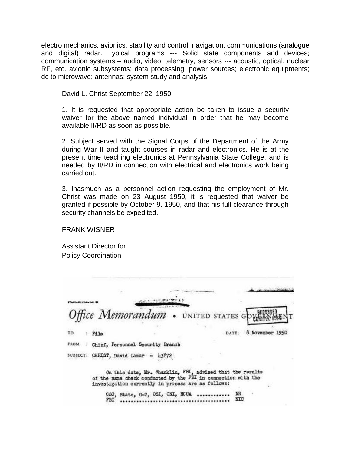electro mechanics, avionics, stability and control, navigation, communications (analogue and digital) radar. Typical programs --- Solid state components and devices; communication systems – audio, video, telemetry, sensors --- acoustic, optical, nuclear RF, etc. avionic subsystems; data processing, power sources; electronic equipments; dc to microwave; antennas; system study and analysis.

David L. Christ September 22, 1950

1. It is requested that appropriate action be taken to issue a security waiver for the above named individual in order that he may become available II/RD as soon as possible.

2. Subject served with the Signal Corps of the Department of the Army during War II and taught courses in radar and electronics. He is at the present time teaching electronics at Pennsylvania State College, and is needed by II/RD in connection with electrical and electronics work being carried out.

3. Inasmuch as a personnel action requesting the employment of Mr. Christ was made on 23 August 1950, it is requested that waiver be granted if possible by October 9. 1950, and that his full clearance through security channels be expedited.

FRANK WISNER

Assistant Director for Policy Coordination

|             |      | Office Memorandum . UNITED STATES GOVERN                                                                                                                                         |  |           |                 |
|-------------|------|----------------------------------------------------------------------------------------------------------------------------------------------------------------------------------|--|-----------|-----------------|
| тο          | File |                                                                                                                                                                                  |  | DATE:     | 8 November 1950 |
| <b>FROM</b> |      | Chief. Personnel Security Branch                                                                                                                                                 |  |           |                 |
|             |      | SUBJECT: CHRIST, David Lamar - 43872                                                                                                                                             |  |           |                 |
|             |      | On this date, Mr. Shanklin, FHI, advised that the results<br>of the name check conducted by the FBI in connection with the<br>investigation currently in process are as follows: |  |           |                 |
|             | FBI  | CSC, State, G-2, OSI, ONI, HCUA                                                                                                                                                  |  | NR<br>NTC |                 |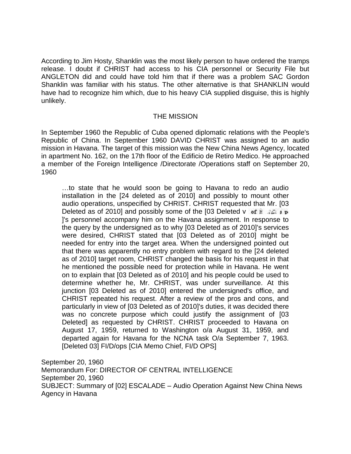According to Jim Hosty, Shanklin was the most likely person to have ordered the tramps release. I doubt if CHRIST had access to his CIA personnel or Security File but ANGLETON did and could have told him that if there was a problem SAC Gordon Shanklin was familiar with his status. The other alternative is that SHANKLIN would have had to recognize him which, due to his heavy CIA supplied disguise, this is highly unlikely.

#### THE MISSION

In September 1960 the Republic of Cuba opened diplomatic relations with the People's Republic of China. In September 1960 DAVID CHRIST was assigned to an audio mission in Havana. The target of this mission was the New China News Agency, located in apartment No. 162, on the 17th floor of the Edificio de Retiro Medico. He approached a member of the Foreign Intelligence /Directorate /Operations staff on September 20, 1960

…to state that he would soon be going to Havana to redo an audio installation in the [24 deleted as of 2010] and possibly to mount other audio operations, unspecified by CHRIST. CHRIST requested that Mr. [03 Deleted as of 2010] and possibly some of the [03 Deleted v of  $\mathbb{R}$ ]'s personnel accompany him on the Havana assignment. In response to the query by the undersigned as to why [03 Deleted as of 2010]'s services were desired, CHRIST stated that [03 Deleted as of 2010] might be needed for entry into the target area. When the undersigned pointed out that there was apparently no entry problem with regard to the [24 deleted as of 2010] target room, CHRIST changed the basis for his request in that he mentioned the possible need for protection while in Havana. He went on to explain that [03 Deleted as of 2010] and his people could be used to determine whether he, Mr. CHRIST, was under surveillance. At this junction [03 Deleted as of 2010] entered the undersigned's office, and CHRIST repeated his request. After a review of the pros and cons, and particularly in view of [03 Deleted as of 2010]'s duties, it was decided there was no concrete purpose which could justify the assignment of [03 Deleted] as requested by CHRIST. CHRIST proceeded to Havana on August 17, 1959, returned to Washington o/a August 31, 1959, and departed again for Havana for the NCNA task O/a September 7, 1963. [Deleted 03] FI/D/ops [CIA Memo Chief, FI/D OPS]

September 20, 1960 Memorandum For: DIRECTOR OF CENTRAL INTELLIGENCE September 20, 1960 SUBJECT: Summary of [02] ESCALADE – Audio Operation Against New China News Agency in Havana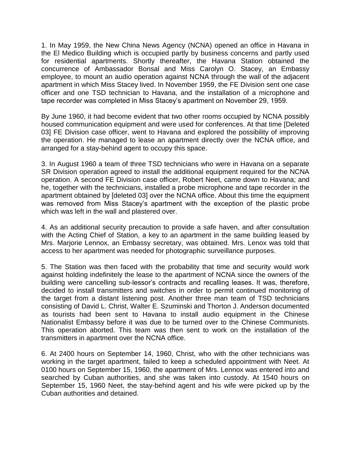1. In May 1959, the New China News Agency (NCNA) opened an office in Havana in the El Medico Building which is occupied partly by business concerns and partly used for residential apartments. Shortly thereafter, the Havana Station obtained the concurrence of Ambassador Bonsal and Miss Carolyn O. Stacey, an Embassy employee, to mount an audio operation against NCNA through the wall of the adjacent apartment in which Miss Stacey lived. In November 1959, the FE Division sent one case officer and one TSD technician to Havana, and the installation of a microphone and tape recorder was completed in Miss Stacey's apartment on November 29, 1959.

By June 1960, it had become evident that two other rooms occupied by NCNA possibly housed communication equipment and were used for conferences. At that time [Deleted 03] FE Division case officer, went to Havana and explored the possibility of improving the operation. He managed to lease an apartment directly over the NCNA office, and arranged for a stay-behind agent to occupy this space.

3. In August 1960 a team of three TSD technicians who were in Havana on a separate SR Division operation agreed to install the additional equipment required for the NCNA operation. A second FE Division case officer, Robert Neet, came down to Havana; and he, together with the technicians, installed a probe microphone and tape recorder in the apartment obtained by [deleted 03] over the NCNA office. About this time the equipment was removed from Miss Stacey's apartment with the exception of the plastic probe which was left in the wall and plastered over.

4. As an additional security precaution to provide a safe haven, and after consultation with the Acting Chief of Station, a key to an apartment in the same building leased by Mrs. Marjorie Lennox, an Embassy secretary, was obtained. Mrs. Lenox was told that access to her apartment was needed for photographic surveillance purposes.

5. The Station was then faced with the probability that time and security would work against holding indefinitely the lease to the apartment of NCNA since the owners of the building were cancelling sub-lessor's contracts and recalling leases. It was, therefore, decided to install transmitters and switches in order to permit continued monitoring of the target from a distant listening post. Another three man team of TSD technicians consisting of David L. Christ, Walter E. Szuminski and Thorton J. Anderson documented as tourists had been sent to Havana to install audio equipment in the Chinese Nationalist Embassy before it was due to be turned over to the Chinese Communists. This operation aborted. This team was then sent to work on the installation of the transmitters in apartment over the NCNA office.

6. At 2400 hours on September 14, 1960, Christ, who with the other technicians was working in the target apartment, failed to keep a scheduled appointment with Neet. At 0100 hours on September 15, 1960, the apartment of Mrs. Lennox was entered into and searched by Cuban authorities, and she was taken into custody. At 1540 hours on September 15, 1960 Neet, the stay-behind agent and his wife were picked up by the Cuban authorities and detained.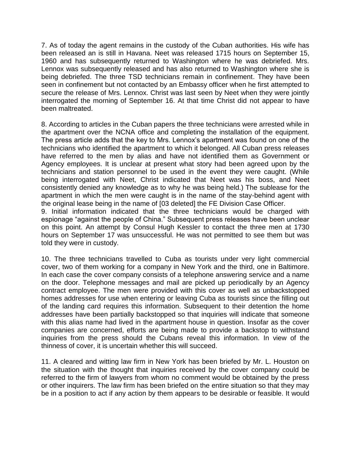7. As of today the agent remains in the custody of the Cuban authorities. His wife has been released an is still in Havana. Neet was released 1715 hours on September 15, 1960 and has subsequently returned to Washington where he was debriefed. Mrs. Lennox was subsequently released and has also returned to Washington where she is being debriefed. The three TSD technicians remain in confinement. They have been seen in confinement but not contacted by an Embassy officer when he first attempted to secure the release of Mrs. Lennox. Christ was last seen by Neet when they were jointly interrogated the morning of September 16. At that time Christ did not appear to have been maltreated.

8. According to articles in the Cuban papers the three technicians were arrested while in the apartment over the NCNA office and completing the installation of the equipment. The press article adds that the key to Mrs. Lennox's apartment was found on one of the technicians who identified the apartment to which it belonged. All Cuban press releases have referred to the men by alias and have not identified them as Government or Agency employees. It is unclear at present what story had been agreed upon by the technicians and station personnel to be used in the event they were caught. (While being interrogated with Neet, Christ indicated that Neet was his boss, and Neet consistently denied any knowledge as to why he was being held.) The sublease for the apartment in which the men were caught is in the name of the stay-behind agent with the original lease being in the name of [03 deleted] the FE Division Case Officer.

9. Initial information indicated that the three technicians would be charged with espionage "against the people of China." Subsequent press releases have been unclear on this point. An attempt by Consul Hugh Kessler to contact the three men at 1730 hours on September 17 was unsuccessful. He was not permitted to see them but was told they were in custody.

10. The three technicians travelled to Cuba as tourists under very light commercial cover, two of them working for a company in New York and the third, one in Baltimore. In each case the cover company consists of a telephone answering service and a name on the door. Telephone messages and mail are picked up periodically by an Agency contract employee. The men were provided with this cover as well as unbackstopped homes addresses for use when entering or leaving Cuba as tourists since the filling out of the landing card requires this information. Subsequent to their detention the home addresses have been partially backstopped so that inquiries will indicate that someone with this alias name had lived in the apartment house in question. Insofar as the cover companies are concerned, efforts are being made to provide a backstop to withstand inquiries from the press should the Cubans reveal this information. In view of the thinness of cover, it is uncertain whether this will succeed.

11. A cleared and witting law firm in New York has been briefed by Mr. L. Houston on the situation with the thought that inquiries received by the cover company could be referred to the firm of lawyers from whom no comment would be obtained by the press or other inquirers. The law firm has been briefed on the entire situation so that they may be in a position to act if any action by them appears to be desirable or feasible. It would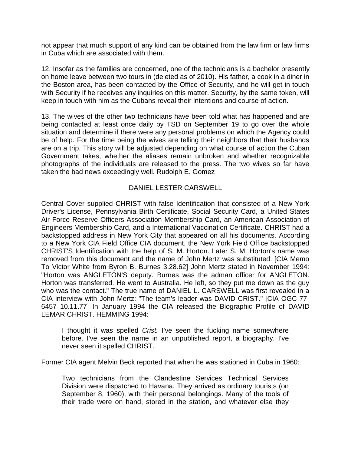not appear that much support of any kind can be obtained from the law firm or law firms in Cuba which are associated with them.

12. Insofar as the families are concerned, one of the technicians is a bachelor presently on home leave between two tours in (deleted as of 2010). His father, a cook in a diner in the Boston area, has been contacted by the Office of Security, and he will get in touch with Security if he receives any inquiries on this matter. Security, by the same token, will keep in touch with him as the Cubans reveal their intentions and course of action.

13. The wives of the other two technicians have been told what has happened and are being contacted at least once daily by TSD on September 19 to go over the whole situation and determine if there were any personal problems on which the Agency could be of help. For the time being the wives are telling their neighbors that their husbands are on a trip. This story will be adjusted depending on what course of action the Cuban Government takes, whether the aliases remain unbroken and whether recognizable photographs of the individuals are released to the press. The two wives so far have taken the bad news exceedingly well. Rudolph E. Gomez

#### DANIEL LESTER CARSWELL

Central Cover supplied CHRIST with false Identification that consisted of a New York Driver's License, Pennsylvania Birth Certificate, Social Security Card, a United States Air Force Reserve Officers Association Membership Card, an American Association of Engineers Membership Card, and a International Vaccination Certificate. CHRIST had a backstopped address in New York City that appeared on all his documents. According to a New York CIA Field Office CIA document, the New York Field Office backstopped CHRIST'S Identification with the help of S. M. Horton. Later S. M. Horton's name was removed from this document and the name of John Mertz was substituted. [CIA Memo To Victor White from Byron B. Burnes 3.28.62] John Mertz stated in November 1994: "Horton was ANGLETON'S deputy. Burnes was the adman officer for ANGLETON. Horton was transferred. He went to Australia. He left, so they put me down as the guy who was the contact." The true name of DANIEL L. CARSWELL was first revealed in a CIA interview with John Mertz: "The team's leader was DAVID CRIST." [CIA OGC 77- 6457 10.11.77] In January 1994 the CIA released the Biographic Profile of DAVID LEMAR CHRIST. HEMMING 1994:

I thought it was spelled *Crist.* I've seen the fucking name somewhere before. I've seen the name in an unpublished report, a biography. I've never seen it spelled CHRIST.

Former CIA agent Melvin Beck reported that when he was stationed in Cuba in 1960:

Two technicians from the Clandestine Services Technical Services Division were dispatched to Havana. They arrived as ordinary tourists (on September 8, 1960), with their personal belongings. Many of the tools of their trade were on hand, stored in the station, and whatever else they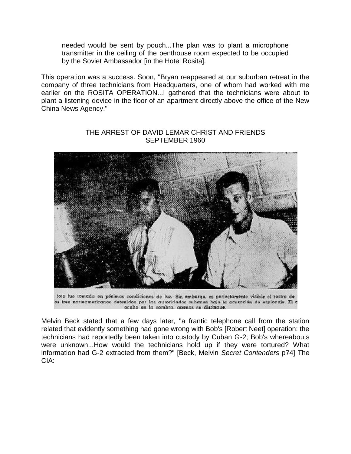needed would be sent by pouch...The plan was to plant a microphone transmitter in the ceiling of the penthouse room expected to be occupied by the Soviet Ambassador [in the Hotel Rosita].

This operation was a success. Soon, "Bryan reappeared at our suburban retreat in the company of three technicians from Headquarters, one of whom had worked with me earlier on the ROSITA OPERATION...I gathered that the technicians were about to plant a listening device in the floor of an apartment directly above the office of the New China News Agency."



#### THE ARREST OF DAVID LEMAR CHRIST AND FRIENDS SEPTEMBER 1960

foto fue tomada en pésimas condiciones de luz. Sin embargo, es porfectamente vitible el rostro de os tres norteamericanos detenidos por los autoridados cubanos hajo la acusación de espicnaje. El e oculte en la sembra, apenes so distingue.

Melvin Beck stated that a few days later, "a frantic telephone call from the station related that evidently something had gone wrong with Bob's [Robert Neet] operation: the technicians had reportedly been taken into custody by Cuban G-2; Bob's whereabouts were unknown...How would the technicians hold up if they were tortured? What information had G-2 extracted from them?" [Beck, Melvin *Secret Contenders* p74] The CIA: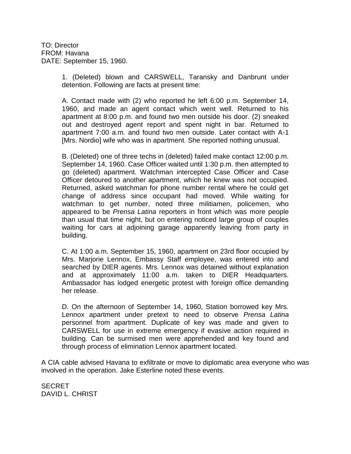TO: Director FROM: Havana DATE: September 15, 1960.

> 1. (Deleted) blown and CARSWELL, Taransky and Danbrunt under detention. Following are facts at present time:

> A. Contact made with (2) who reported he left 6:00 p.m. September 14, 1960, and made an agent contact which went well. Returned to his apartment at 8:00 p.m. and found two men outside his door. (2) sneaked out and destroyed agent report and spent night in bar. Returned to apartment 7:00 a.m. and found two men outside. Later contact with A-1 [Mrs. Nordio] wife who was in apartment. She reported nothing unusual.

> B. (Deleted) one of three techs in (deleted) failed make contact 12:00 p.m. September 14, 1960. Case Officer waited until 1:30 p.m. then attempted to go (deleted) apartment. Watchman intercepted Case Officer and Case Officer detoured to another apartment, which he knew was not occupied. Returned, asked watchman for phone number rental where he could get change of address since occupant had moved. While waiting for watchman to get number, noted three militiamen, policemen, who appeared to be *Prensa Latina* reporters in front which was more people than usual that time night, but on entering noticed large group of couples waiting for cars at adjoining garage apparently leaving from party in building.

> C. At 1:00 a.m. September 15, 1960, apartment on 23rd floor occupied by Mrs. Marjorie Lennox, Embassy Staff employee, was entered into and searched by DIER agents. Mrs. Lennox was detained without explanation and at approximately 11:00 a.m. taken to DIER Headquarters. Ambassador has lodged energetic protest with foreign office demanding her release.

> D. On the afternoon of September 14, 1960, Station borrowed key Mrs. Lennox apartment under pretext to need to observe *Prensa Latina* personnel from apartment. Duplicate of key was made and given to CARSWELL for use in extreme emergency if evasive action required in building. Can be surmised men were apprehended and key found and through process of elimination Lennox apartment located.

A CIA cable advised Havana to exfiltrate or move to diplomatic area everyone who was involved in the operation. Jake Esterline noted these events.

**SECRET** DAVID L. CHRIST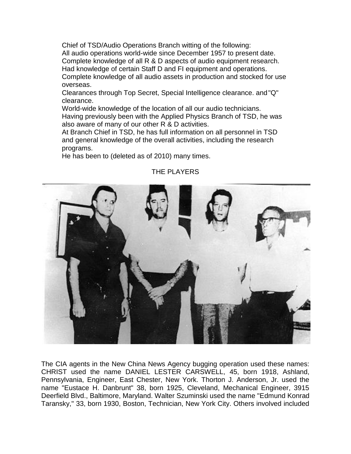Chief of TSD/Audio Operations Branch witting of the following: All audio operations world-wide since December 1957 to present date. Complete knowledge of all R & D aspects of audio equipment research. Had knowledge of certain Staff D and FI equipment and operations. Complete knowledge of all audio assets in production and stocked for use overseas.

Clearances through Top Secret, Special Intelligence clearance. and"Q" clearance.

World-wide knowledge of the location of all our audio technicians. Having previously been with the Applied Physics Branch of TSD, he was also aware of many of our other R & D activities.

At Branch Chief in TSD, he has full information on all personnel in TSD and general knowledge of the overall activities, including the research programs.

He has been to (deleted as of 2010) many times.



# THE PLAYERS

The CIA agents in the New China News Agency bugging operation used these names: CHRIST used the name DANIEL LESTER CARSWELL, 45, born 1918, Ashland, Pennsylvania, Engineer, East Chester, New York. Thorton J. Anderson, Jr. used the name "Eustace H. Danbrunt" 38, born 1925, Cleveland, Mechanical Engineer, 3915 Deerfield Blvd., Baltimore, Maryland. Walter Szuminski used the name "Edmund Konrad Taransky," 33, born 1930, Boston, Technician, New York City. Others involved included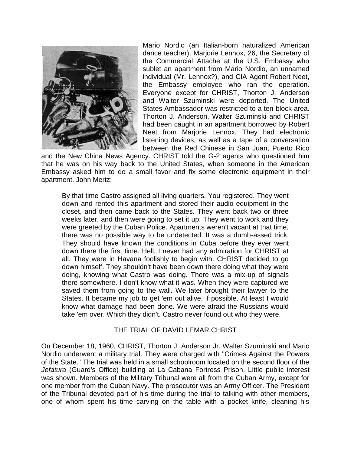

Mario Nordio (an Italian-born naturalized American dance teacher), Marjorie Lennox, 26, the Secretary of the Commercial Attache at the U.S. Embassy who sublet an apartment from Mario Nordio, an unnamed individual (Mr. Lennox?), and CIA Agent Robert Neet, the Embassy employee who ran the operation. Everyone except for CHRIST, Thorton J. Anderson and Walter Szuminski were deported. The United States Ambassador was restricted to a ten-block area. Thorton J. Anderson, Walter Szuminski and CHRIST had been caught in an apartment borrowed by Robert Neet from Marjorie Lennox. They had electronic listening devices, as well as a tape of a conversation between the Red Chinese in San Juan, Puerto Rico

and the New China News Agency. CHRIST told the G-2 agents who questioned him that he was on his way back to the United States, when someone in the American Embassy asked him to do a small favor and fix some electronic equipment in their apartment. John Mertz:

By that time Castro assigned all living quarters. You registered. They went down and rented this apartment and stored their audio equipment in the closet, and then came back to the States. They went back two or three weeks later, and then were going to set it up. They went to work and they were greeted by the Cuban Police. Apartments weren't vacant at that time, there was no possible way to be undetected. It was a dumb-assed trick. They should have known the conditions in Cuba before they ever went down there the first time. Hell, I never had any admiration for CHRIST at all. They were in Havana foolishly to begin with. CHRIST decided to go down himself. They shouldn't have been down there doing what they were doing, knowing what Castro was doing. There was a mix-up of signals there somewhere. I don't know what it was. When they were captured we saved them from going to the wall. We later brought their lawyer to the States. It became my job to get 'em out alive, if possible. At least I would know what damage had been done. We were afraid the Russians would take 'em over. Which they didn't. Castro never found out who they were.

#### THE TRIAL OF DAVID LEMAR CHRIST

On December 18, 1960, CHRIST, Thorton J. Anderson Jr. Walter Szuminski and Mario Nordio underwent a military trial. They were charged with "Crimes Against the Powers of the State." The trial was held in a small schoolroom located on the second floor of the *Jefatura* (Guard's Office) building at La Cabana Fortress Prison. Little public interest was shown. Members of the Military Tribunal were all from the Cuban Army, except for one member from the Cuban Navy. The prosecutor was an Army Officer. The President of the Tribunal devoted part of his time during the trial to talking with other members, one of whom spent his time carving on the table with a pocket knife, cleaning his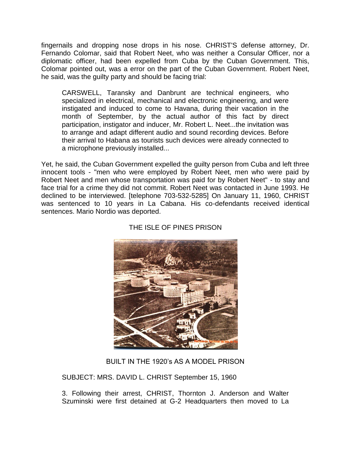fingernails and dropping nose drops in his nose. CHRIST'S defense attorney, Dr. Fernando Colomar, said that Robert Neet, who was neither a Consular Officer, nor a diplomatic officer, had been expelled from Cuba by the Cuban Government. This, Colomar pointed out, was a error on the part of the Cuban Government. Robert Neet, he said, was the guilty party and should be facing trial:

CARSWELL, Taransky and Danbrunt are technical engineers, who specialized in electrical, mechanical and electronic engineering, and were instigated and induced to come to Havana, during their vacation in the month of September, by the actual author of this fact by direct participation, instigator and inducer, Mr. Robert L. Neet...the invitation was to arrange and adapt different audio and sound recording devices. Before their arrival to Habana as tourists such devices were already connected to a microphone previously installed...

Yet, he said, the Cuban Government expelled the guilty person from Cuba and left three innocent tools - "men who were employed by Robert Neet, men who were paid by Robert Neet and men whose transportation was paid for by Robert Neet" - to stay and face trial for a crime they did not commit. Robert Neet was contacted in June 1993. He declined to be interviewed. [telephone 703-532-5285] On January 11, 1960, CHRIST was sentenced to 10 years in La Cabana. His co-defendants received identical sentences. Mario Nordio was deported.



## THE ISLE OF PINES PRISON

BUILT IN THE 1920's AS A MODEL PRISON

SUBJECT: MRS. DAVID L. CHRIST September 15, 1960

3. Following their arrest, CHRIST, Thornton J. Anderson and Walter Szuminski were first detained at G-2 Headquarters then moved to La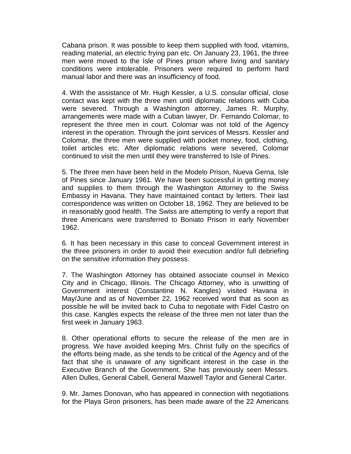Cabana prison. It was possible to keep them supplied with food, vitamins, reading material, an electric frying pan etc. On January 23, 1961, the three men were moved to the Isle of Pines prison where living and sanitary conditions were intolerable. Prisoners were required to perform hard manual labor and there was an insufficiency of food.

4. With the assistance of Mr. Hugh Kessler, a U.S. consular official, close contact was kept with the three men until diplomatic relations with Cuba were severed. Through a Washington attorney, James R. Murphy, arrangements were made with a Cuban lawyer, Dr. Fernando Colomar, to represent the three men in court. Colomar was not told of the Agency interest in the operation. Through the joint services of Messrs. Kessler and Colomar, the three men were supplied with pocket money, food, clothing, toilet articles etc. After diplomatic relations were severed, Colomar continued to visit the men until they were transferred to Isle of Pines.

5. The three men have been held in the Modelo Prison, Nueva Gerna, Isle of Pines since January 1961. We have been successful in getting money and supplies to them through the Washington Attorney to the Swiss Embassy in Havana. They have maintained contact by letters. Their last correspondence was written on October 18, 1962. They are believed to be in reasonably good health. The Swiss are attempting to verify a report that three Americans were transferred to Boniato Prison in early November 1962.

6. It has been necessary in this case to conceal Government interest in the three prisoners in order to avoid their execution and/or full debriefing on the sensitive information they possess.

7. The Washington Attorney has obtained associate counsel in Mexico City and in Chicago, Illinois. The Chicago Attorney, who is unwitting of Government interest (Constantine N. Kangles) visited Havana in May/June and as of November 22, 1962 received word that as soon as possible he will be invited back to Cuba to negotiate with Fidel Castro on this case. Kangles expects the release of the three men not later than the first week in January 1963.

8. Other operational efforts to secure the release of the men are in progress. We have avoided keeping Mrs. Christ fully on the specifics of the efforts being made, as she tends to be critical of the Agency and of the fact that she is unaware of any significant interest in the case in the Executive Branch of the Government. She has previously seen Messrs. Allen Dulles, General Cabell, General Maxwell Taylor and General Carter.

9. Mr. James Donovan, who has appeared in connection with negotiations for the Playa Giron prisoners, has been made aware of the 22 Americans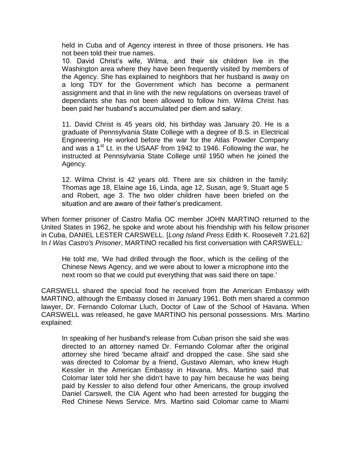held in Cuba and of Agency interest in three of those prisoners. He has not been told their true names.

10. David Christ's wife, Wilma, and their six children live in the Washington area where they have been frequently visited by members of the Agency. She has explained to neighbors that her husband is away on a long TDY for the Government which has become a permanent assignment and that in line with the new regulations on overseas travel of dependants she has not been allowed to follow him. Wilma Christ has been paid her husband's accumulated per diem and salary.

11. David Christ is 45 years old, his birthday was January 20. He is a graduate of Pennsylvania State College with a degree of B.S. in Electrical Engineering. He worked before the war for the Atlas Powder Company and was a 1<sup>st</sup> Lt. in the USAAF from 1942 to 1946. Following the war, he instructed at Pennsylvania State College until 1950 when he joined the Agency.

12. Wilma Christ is 42 years old. There are six children in the family: Thomas age 18, Elaine age 16, Linda, age 12, Susan, age 9, Stuart age 5 and Robert, age 3. The two older children have been briefed on the situation and are aware of their father's predicament.

When former prisoner of Castro Mafia OC member JOHN MARTINO returned to the United States in 1962, he spoke and wrote about his friendship with his fellow prisoner in Cuba, DANIEL LESTER CARSWELL. [*Long Island Press* Edith K. Roosevelt 7.21.62] In *I Was Castro's Prisoner*, MARTINO recalled his first conversation with CARSWELL:

He told me, 'We had drilled through the floor, which is the ceiling of the Chinese News Agency, and we were about to lower a microphone into the next room so that we could put everything that was said there on tape.'

CARSWELL shared the special food he received from the American Embassy with MARTINO, although the Embassy closed in January 1961. Both men shared a common lawyer, Dr. Fernando Colomar Lluch, Doctor of Law of the School of Havana. When CARSWELL was released, he gave MARTINO his personal possessions. Mrs. Martino explained:

In speaking of her husband's release from Cuban prison she said she was directed to an attorney named Dr. Fernando Colomar after the original attorney she hired 'became afraid' and dropped the case. She said she was directed to Colomar by a friend, Gustavo Aleman, who knew Hugh Kessler in the American Embassy in Havana. Mrs. Martino said that Colomar later told her she didn't have to pay him because he was being paid by Kessler to also defend four other Americans, the group involved Daniel Carswell, the CIA Agent who had been arrested for bugging the Red Chinese News Service. Mrs. Martino said Colomar came to Miami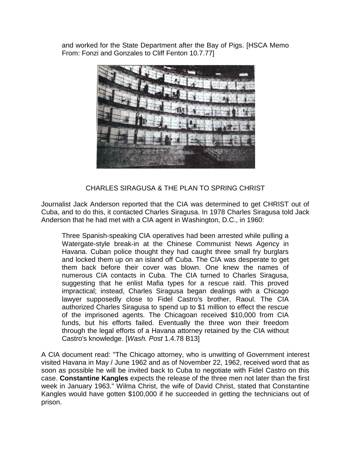and worked for the State Department after the Bay of Pigs. [HSCA Memo From: Fonzi and Gonzales to Cliff Fenton 10.7.77]



CHARLES SIRAGUSA & THE PLAN TO SPRING CHRIST

Journalist Jack Anderson reported that the CIA was determined to get CHRIST out of Cuba, and to do this, it contacted Charles Siragusa. In 1978 Charles Siragusa told Jack Anderson that he had met with a CIA agent in Washington, D.C., in 1960:

Three Spanish-speaking CIA operatives had been arrested while pulling a Watergate-style break-in at the Chinese Communist News Agency in Havana. Cuban police thought they had caught three small fry burglars and locked them up on an island off Cuba. The CIA was desperate to get them back before their cover was blown. One knew the names of numerous CIA contacts in Cuba. The CIA turned to Charles Siragusa, suggesting that he enlist Mafia types for a rescue raid. This proved impractical; instead, Charles Siragusa began dealings with a Chicago lawyer supposedly close to Fidel Castro's brother, Raoul. The CIA authorized Charles Siragusa to spend up to \$1 million to effect the rescue of the imprisoned agents. The Chicagoan received \$10,000 from CIA funds, but his efforts failed. Eventually the three won their freedom through the legal efforts of a Havana attorney retained by the CIA without Castro's knowledge. [*Wash. Post* 1.4.78 B13]

A CIA document read: "The Chicago attorney, who is unwitting of Government interest visited Havana in May / June 1962 and as of November 22, 1962, received word that as soon as possible he will be invited back to Cuba to negotiate with Fidel Castro on this case. **Constantine Kangles** expects the release of the three men not later than the first week in January 1963." Wilma Christ, the wife of David Christ, stated that Constantine Kangles would have gotten \$100,000 if he succeeded in getting the technicians out of prison.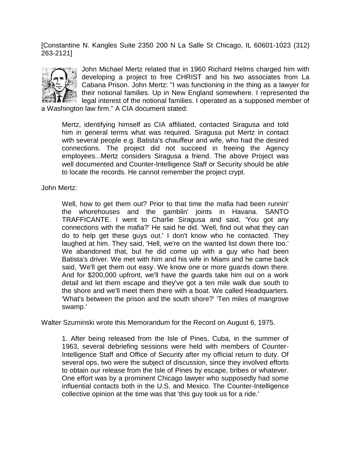[Constantine N. Kangles Suite 2350 200 N La Salle St Chicago, IL 60601-1023 (312) 263-2121]



John Michael Mertz related that in 1960 Richard Helms charged him with developing a project to free CHRIST and his two associates from La Cabana Prison. John Mertz: "I was functioning in the thing as a lawyer for their notional families. Up in New England somewhere. I represented the legal interest of the notional families. I operated as a supposed member of

a Washington law firm." A CIA document stated:

Mertz, identifying himself as CIA affiliated, contacted Siragusa and told him in general terms what was required. Siragusa put Mertz in contact with several people e.g. Batista's chauffeur and wife, who had the desired connections. The project did not succeed in freeing the Agency employees...Mertz considers Siragusa a friend. The above Project was well documented and Counter-Intelligence Staff or Security should be able to locate the records. He cannot remember the project crypt.

John Mertz:

Well, how to get them out? Prior to that time the mafia had been runnin' the whorehouses and the gamblin' joints in Havana. SANTO TRAFFICANTE. I went to Charlie Siragusa and said, 'You got any connections with the mafia?' He said he did. 'Well, find out what they can do to help get these guys out.' I don't know who he contacted. They laughed at him. They said, 'Hell, we're on the wanted list down there too.' We abandoned that, but he did come up with a guy who had been Batista's driver. We met with him and his wife in Miami and he came back said, 'We'll get them out easy. We know one or more guards down there. And for \$200,000 upfront, we'll have the guards take him out on a work detail and let them escape and they've got a ten mile walk due south to the shore and we'll meet them there with a boat. We called Headquarters. 'What's between the prison and the south shore?' 'Ten miles of mangrove swamp.'

Walter Szuminski wrote this Memorandum for the Record on August 6, 1975.

1. After being released from the Isle of Pines, Cuba, in the summer of 1963, several debriefing sessions were held with members of Counter-Intelligence Staff and Office of Security after my official return to duty. Of several ops, two were the subject of discussion, since they involved efforts to obtain our release from the Isle of Pines by escape, bribes or whatever. One effort was by a prominent Chicago lawyer who supposedly had some influential contacts both in the U.S. and Mexico. The Counter-Intelligence collective opinion at the time was that 'this guy took us for a ride.'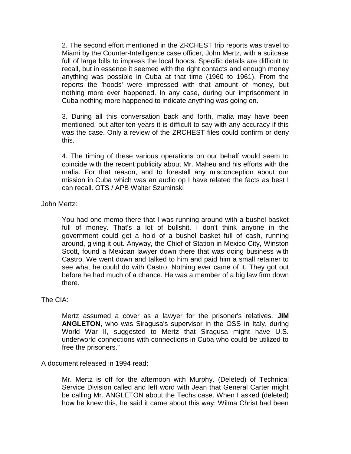2. The second effort mentioned in the ZRCHEST trip reports was travel to Miami by the Counter-Intelligence case officer, John Mertz, with a suitcase full of large bills to impress the local hoods. Specific details are difficult to recall, but in essence it seemed with the right contacts and enough money anything was possible in Cuba at that time (1960 to 1961). From the reports the 'hoods' were impressed with that amount of money, but nothing more ever happened. In any case, during our imprisonment in Cuba nothing more happened to indicate anything was going on.

3. During all this conversation back and forth, mafia may have been mentioned, but after ten years it is difficult to say with any accuracy if this was the case. Only a review of the ZRCHEST files could confirm or deny this.

4. The timing of these various operations on our behalf would seem to coincide with the recent publicity about Mr. Maheu and his efforts with the mafia. For that reason, and to forestall any misconception about our mission in Cuba which was an audio op I have related the facts as best I can recall. OTS / APB Walter Szuminski

John Mertz:

You had one memo there that I was running around with a bushel basket full of money. That's a lot of bullshit. I don't think anyone in the government could get a hold of a bushel basket full of cash, running around, giving it out. Anyway, the Chief of Station in Mexico City, Winston Scott, found a Mexican lawyer down there that was doing business with Castro. We went down and talked to him and paid him a small retainer to see what he could do with Castro. Nothing ever came of it. They got out before he had much of a chance. He was a member of a big law firm down there.

The CIA:

Mertz assumed a cover as a lawyer for the prisoner's relatives. **JIM ANGLETON**, who was Siragusa's supervisor in the OSS in Italy, during World War II, suggested to Mertz that Siragusa might have U.S. underworld connections with connections in Cuba who could be utilized to free the prisoners."

A document released in 1994 read:

Mr. Mertz is off for the afternoon with Murphy. (Deleted) of Technical Service Division called and left word with Jean that General Carter might be calling Mr. ANGLETON about the Techs case. When I asked (deleted) how he knew this, he said it came about this way: Wilma Christ had been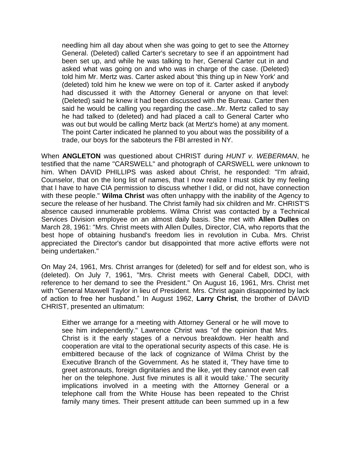needling him all day about when she was going to get to see the Attorney General. (Deleted) called Carter's secretary to see if an appointment had been set up, and while he was talking to her, General Carter cut in and asked what was going on and who was in charge of the case. (Deleted) told him Mr. Mertz was. Carter asked about 'this thing up in New York' and (deleted) told him he knew we were on top of it. Carter asked if anybody had discussed it with the Attorney General or anyone on that level: (Deleted) said he knew it had been discussed with the Bureau. Carter then said he would be calling you regarding the case...Mr. Mertz called to say he had talked to (deleted) and had placed a call to General Carter who was out but would be calling Mertz back (at Mertz's home) at any moment. The point Carter indicated he planned to you about was the possibility of a trade, our boys for the saboteurs the FBI arrested in NY.

When **ANGLETON** was questioned about CHRIST during *HUNT v. WEBERMAN*, he testified that the name "CARSWELL" and photograph of CARSWELL were unknown to him. When DAVID PHILLIPS was asked about Christ, he responded: "I'm afraid, Counselor, that on the long list of names, that I now realize I must stick by my feeling that I have to have CIA permission to discuss whether I did, or did not, have connection with these people." **Wilma Christ** was often unhappy with the inability of the Agency to secure the release of her husband. The Christ family had six children and Mr. CHRIST'S absence caused innumerable problems. Wilma Christ was contacted by a Technical Services Division employee on an almost daily basis. She met with **Allen Dulles** on March 28, 1961: "Mrs. Christ meets with Allen Dulles, Director, CIA, who reports that the best hope of obtaining husband's freedom lies in revolution in Cuba. Mrs. Christ appreciated the Director's candor but disappointed that more active efforts were not being undertaken."

On May 24, 1961, Mrs. Christ arranges for (deleted) for self and for eldest son, who is (deleted). On July 7, 1961, "Mrs. Christ meets with General Cabell, DDCI, with reference to her demand to see the President." On August 16, 1961, Mrs. Christ met with "General Maxwell Taylor in lieu of President. Mrs. Christ again disappointed by lack of action to free her husband." In August 1962, **Larry Christ**, the brother of DAVID CHRIST, presented an ultimatum:

Either we arrange for a meeting with Attorney General or he will move to see him independently." Lawrence Christ was "of the opinion that Mrs. Christ is it the early stages of a nervous breakdown. Her health and cooperation are vital to the operational security aspects of this case. He is embittered because of the lack of cognizance of Wilma Christ by the Executive Branch of the Government. As he stated it, 'They have time to greet astronauts, foreign dignitaries and the like, yet they cannot even call her on the telephone. Just five minutes is all it would take.' The security implications involved in a meeting with the Attorney General or a telephone call from the White House has been repeated to the Christ family many times. Their present attitude can been summed up in a few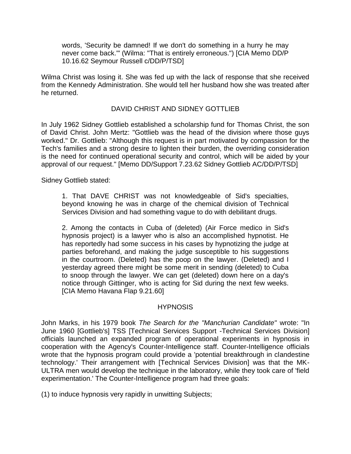words, 'Security be damned! If we don't do something in a hurry he may never come back.'" (Wilma: "That is entirely erroneous.") [CIA Memo DD/P 10.16.62 Seymour Russell c/DD/P/TSD]

Wilma Christ was losing it. She was fed up with the lack of response that she received from the Kennedy Administration. She would tell her husband how she was treated after he returned.

#### DAVID CHRIST AND SIDNEY GOTTLIEB

In July 1962 Sidney Gottlieb established a scholarship fund for Thomas Christ, the son of David Christ. John Mertz: "Gottlieb was the head of the division where those guys worked." Dr. Gottlieb: "Although this request is in part motivated by compassion for the Tech's families and a strong desire to lighten their burden, the overriding consideration is the need for continued operational security and control, which will be aided by your approval of our request." [Memo DD/Support 7.23.62 Sidney Gottlieb AC/DD/P/TSD]

Sidney Gottlieb stated:

1. That DAVE CHRIST was not knowledgeable of Sid's specialties, beyond knowing he was in charge of the chemical division of Technical Services Division and had something vague to do with debilitant drugs.

2. Among the contacts in Cuba of (deleted) (Air Force medico in Sid's hypnosis project) is a lawyer who is also an accomplished hypnotist. He has reportedly had some success in his cases by hypnotizing the judge at parties beforehand, and making the judge susceptible to his suggestions in the courtroom. (Deleted) has the poop on the lawyer. (Deleted) and I yesterday agreed there might be some merit in sending (deleted) to Cuba to snoop through the lawyer. We can get (deleted) down here on a day's notice through Gittinger, who is acting for Sid during the next few weeks. [CIA Memo Havana Flap 9.21.60]

#### **HYPNOSIS**

John Marks, in his 1979 book *The Search for the "Manchurian Candidate"* wrote: "In June 1960 [Gottlieb's] TSS [Technical Services Support -Technical Services Division] officials launched an expanded program of operational experiments in hypnosis in cooperation with the Agency's Counter-Intelligence staff. Counter-Intelligence officials wrote that the hypnosis program could provide a 'potential breakthrough in clandestine technology.' Their arrangement with [Technical Services Division] was that the MK-ULTRA men would develop the technique in the laboratory, while they took care of 'field experimentation.' The Counter-Intelligence program had three goals:

(1) to induce hypnosis very rapidly in unwitting Subjects;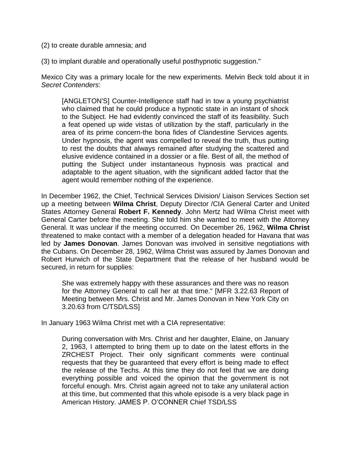- (2) to create durable amnesia; and
- (3) to implant durable and operationally useful posthypnotic suggestion."

Mexico City was a primary locale for the new experiments. Melvin Beck told about it in *Secret Contenders*:

[ANGLETON'S] Counter-Intelligence staff had in tow a young psychiatrist who claimed that he could produce a hypnotic state in an instant of shock to the Subject. He had evidently convinced the staff of its feasibility. Such a feat opened up wide vistas of utilization by the staff, particularly in the area of its prime concern-the bona fides of Clandestine Services agents. Under hypnosis, the agent was compelled to reveal the truth, thus putting to rest the doubts that always remained after studying the scattered and elusive evidence contained in a dossier or a file. Best of all, the method of putting the Subject under instantaneous hypnosis was practical and adaptable to the agent situation, with the significant added factor that the agent would remember nothing of the experience.

In December 1962, the Chief, Technical Services Division/ Liaison Services Section set up a meeting between **Wilma Christ**, Deputy Director /CIA General Carter and United States Attorney General **Robert F. Kennedy**. John Mertz had Wilma Christ meet with General Carter before the meeting. She told him she wanted to meet with the Attorney General. It was unclear if the meeting occurred. On December 26, 1962, **Wilma Christ** threatened to make contact with a member of a delegation headed for Havana that was led by **James Donovan**. James Donovan was involved in sensitive negotiations with the Cubans. On December 28, 1962, Wilma Christ was assured by James Donovan and Robert Hurwich of the State Department that the release of her husband would be secured, in return for supplies:

She was extremely happy with these assurances and there was no reason for the Attorney General to call her at that time." [MFR 3.22.63 Report of Meeting between Mrs. Christ and Mr. James Donovan in New York City on 3.20.63 from C/TSD/LSS]

In January 1963 Wilma Christ met with a CIA representative:

During conversation with Mrs. Christ and her daughter, Elaine, on January 2, 1963, I attempted to bring them up to date on the latest efforts in the ZRCHEST Project. Their only significant comments were continual requests that they be guaranteed that every effort is being made to effect the release of the Techs. At this time they do not feel that we are doing everything possible and voiced the opinion that the government is not forceful enough. Mrs. Christ again agreed not to take any unilateral action at this time, but commented that this whole episode is a very black page in American History. JAMES P. O'CONNER Chief TSD/LSS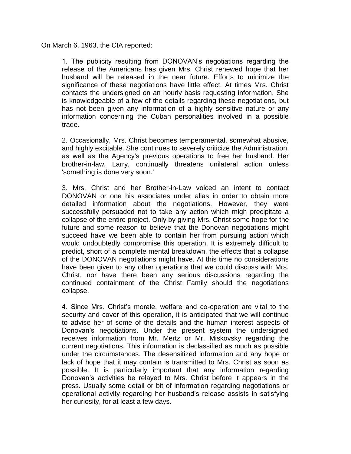On March 6, 1963, the CIA reported:

1. The publicity resulting from DONOVAN's negotiations regarding the release of the Americans has given Mrs. Christ renewed hope that her husband will be released in the near future. Efforts to minimize the significance of these negotiations have little effect. At times Mrs. Christ contacts the undersigned on an hourly basis requesting information. She is knowledgeable of a few of the details regarding these negotiations, but has not been given any information of a highly sensitive nature or any information concerning the Cuban personalities involved in a possible trade.

2. Occasionally, Mrs. Christ becomes temperamental, somewhat abusive, and highly excitable. She continues to severely criticize the Administration, as well as the Agency's previous operations to free her husband. Her brother-in-law, Larry, continually threatens unilateral action unless 'something is done very soon.'

3. Mrs. Christ and her Brother-in-Law voiced an intent to contact DONOVAN or one his associates under alias in order to obtain more detailed information about the negotiations. However, they were successfully persuaded not to take any action which migh precipitate a collapse of the entire project. Only by giving Mrs. Christ some hope for the future and some reason to believe that the Donovan negotiations might succeed have we been able to contain her from pursuing action which would undoubtedly compromise this operation. It is extremely difficult to predict, short of a complete mental breakdown, the effects that a collapse of the DONOVAN negotiations might have. At this time no considerations have been given to any other operations that we could discuss with Mrs. Christ, nor have there been any serious discussions regarding the continued containment of the Christ Family should the negotiations collapse.

4. Since Mrs. Christ's morale, welfare and co-operation are vital to the security and cover of this operation, it is anticipated that we will continue to advise her of some of the details and the human interest aspects of Donovan's negotiations. Under the present system the undersigned receives information from Mr. Mertz or Mr. Miskovsky regarding the current negotiations. This information is declassified as much as possible under the circumstances. The desensitized information and any hope or lack of hope that it may contain is transmitted to Mrs. Christ as soon as possible. It is particularly important that any information regarding Donovan's activities be relayed to Mrs. Christ before it appears in the press. Usually some detail or bit of information regarding negotiations or operational activity regarding her husband's release assists in satisfying her curiosity, for at least a few days.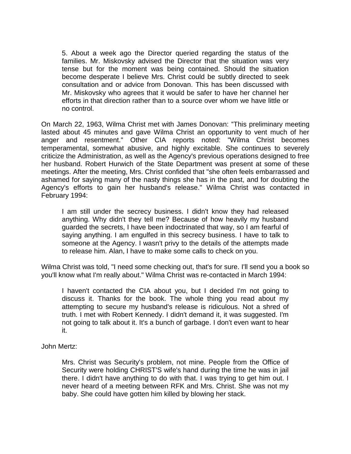5. About a week ago the Director queried regarding the status of the families. Mr. Miskovsky advised the Director that the situation was very tense but for the moment was being contained. Should the situation become desperate I believe Mrs. Christ could be subtly directed to seek consultation and or advice from Donovan. This has been discussed with Mr. Miskovsky who agrees that it would be safer to have her channel her efforts in that direction rather than to a source over whom we have little or no control.

On March 22, 1963, Wilma Christ met with James Donovan: "This preliminary meeting lasted about 45 minutes and gave Wilma Christ an opportunity to vent much of her anger and resentment." Other CIA reports noted: "Wilma Christ becomes temperamental, somewhat abusive, and highly excitable. She continues to severely criticize the Administration, as well as the Agency's previous operations designed to free her husband. Robert Hurwich of the State Department was present at some of these meetings. After the meeting, Mrs. Christ confided that "she often feels embarrassed and ashamed for saying many of the nasty things she has in the past, and for doubting the Agency's efforts to gain her husband's release." Wilma Christ was contacted in February 1994:

I am still under the secrecy business. I didn't know they had released anything. Why didn't they tell me? Because of how heavily my husband guarded the secrets, I have been indoctrinated that way, so I am fearful of saying anything. I am engulfed in this secrecy business. I have to talk to someone at the Agency. I wasn't privy to the details of the attempts made to release him. Alan, I have to make some calls to check on you.

Wilma Christ was told, "I need some checking out, that's for sure. I'll send you a book so you'll know what I'm really about." Wilma Christ was re-contacted in March 1994:

I haven't contacted the CIA about you, but I decided I'm not going to discuss it. Thanks for the book. The whole thing you read about my attempting to secure my husband's release is ridiculous. Not a shred of truth. I met with Robert Kennedy. I didn't demand it, it was suggested. I'm not going to talk about it. It's a bunch of garbage. I don't even want to hear it.

#### John Mertz:

Mrs. Christ was Security's problem, not mine. People from the Office of Security were holding CHRIST'S wife's hand during the time he was in jail there. I didn't have anything to do with that. I was trying to get him out. I never heard of a meeting between RFK and Mrs. Christ. She was not my baby. She could have gotten him killed by blowing her stack.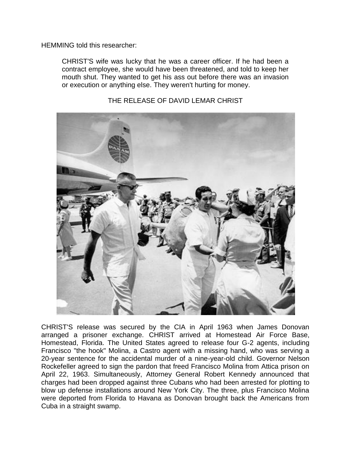HEMMING told this researcher:

CHRIST'S wife was lucky that he was a career officer. If he had been a contract employee, she would have been threatened, and told to keep her mouth shut. They wanted to get his ass out before there was an invasion or execution or anything else. They weren't hurting for money.



THE RELEASE OF DAVID LEMAR CHRIST

CHRIST'S release was secured by the CIA in April 1963 when James Donovan arranged a prisoner exchange. CHRIST arrived at Homestead Air Force Base, Homestead, Florida. The United States agreed to release four G-2 agents, including Francisco "the hook" Molina, a Castro agent with a missing hand, who was serving a 20-year sentence for the accidental murder of a nine-year-old child. Governor Nelson Rockefeller agreed to sign the pardon that freed Francisco Molina from Attica prison on April 22, 1963. Simultaneously, Attorney General Robert Kennedy announced that charges had been dropped against three Cubans who had been arrested for plotting to blow up defense installations around New York City. The three, plus Francisco Molina were deported from Florida to Havana as Donovan brought back the Americans from Cuba in a straight swamp.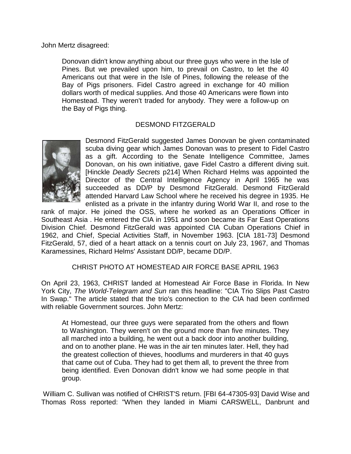John Mertz disagreed:

Donovan didn't know anything about our three guys who were in the Isle of Pines. But we prevailed upon him, to prevail on Castro, to let the 40 Americans out that were in the Isle of Pines, following the release of the Bay of Pigs prisoners. Fidel Castro agreed in exchange for 40 million dollars worth of medical supplies. And those 40 Americans were flown into Homestead. They weren't traded for anybody. They were a follow-up on the Bay of Pigs thing.

### DESMOND FITZGERALD



Desmond FitzGerald suggested James Donovan be given contaminated scuba diving gear which James Donovan was to present to Fidel Castro as a gift. According to the Senate Intelligence Committee, James Donovan, on his own initiative, gave Fidel Castro a different diving suit. [Hinckle *Deadly Secrets* p214] When Richard Helms was appointed the Director of the Central Intelligence Agency in April 1965 he was succeeded as DD/P by Desmond FitzGerald. Desmond FitzGerald attended Harvard Law School where he received his degree in 1935. He enlisted as a private in the infantry during World War II, and rose to the

rank of major. He joined the OSS, where he worked as an Operations Officer in Southeast Asia . He entered the CIA in 1951 and soon became its Far East Operations Division Chief. Desmond FitzGerald was appointed CIA Cuban Operations Chief in 1962, and Chief, Special Activities Staff, in November 1963. [CIA 181-73] Desmond FitzGerald, 57, died of a heart attack on a tennis court on July 23, 1967, and Thomas Karamessines, Richard Helms' Assistant DD/P, became DD/P.

#### CHRIST PHOTO AT HOMESTEAD AIR FORCE BASE APRIL 1963

On April 23, 1963, CHRIST landed at Homestead Air Force Base in Florida. In New York City, *The World-Telegram and Sun* ran this headline: "CIA Trio Slips Past Castro In Swap." The article stated that the trio's connection to the CIA had been confirmed with reliable Government sources. John Mertz:

At Homestead, our three guys were separated from the others and flown to Washington. They weren't on the ground more than five minutes. They all marched into a building, he went out a back door into another building, and on to another plane. He was in the air ten minutes later. Hell, they had the greatest collection of thieves, hoodlums and murderers in that 40 guys that came out of Cuba. They had to get them all, to prevent the three from being identified. Even Donovan didn't know we had some people in that group.

William C. Sullivan was notified of CHRIST'S return. [FBI 64-47305-93] David Wise and Thomas Ross reported: "When they landed in Miami CARSWELL, Danbrunt and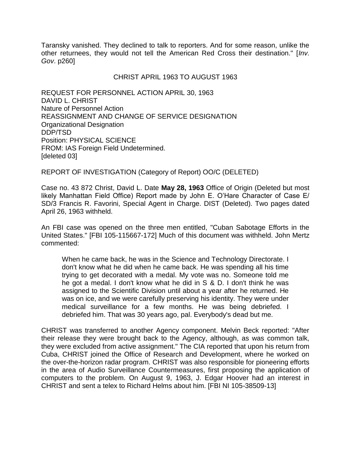Taransky vanished. They declined to talk to reporters. And for some reason, unlike the other returnees, they would not tell the American Red Cross their destination." [*Inv. Gov*. p260]

#### CHRIST APRIL 1963 TO AUGUST 1963

REQUEST FOR PERSONNEL ACTION APRIL 30, 1963 DAVID L. CHRIST Nature of Personnel Action REASSIGNMENT AND CHANGE OF SERVICE DESIGNATION Organizational Designation DDP/TSD Position: PHYSICAL SCIENCE FROM: IAS Foreign Field Undetermined. [deleted 03]

REPORT OF INVESTIGATION (Category of Report) OO/C (DELETED)

Case no. 43 872 Christ, David L. Date **May 28, 1963** Office of Origin (Deleted but most likely Manhattan Field Office) Report made by John E. O'Hare Character of Case E/ SD/3 Francis R. Favorini, Special Agent in Charge. DIST (Deleted). Two pages dated April 26, 1963 withheld.

An FBI case was opened on the three men entitled, "Cuban Sabotage Efforts in the United States." [FBI 105-115667-172] Much of this document was withheld. John Mertz commented:

When he came back, he was in the Science and Technology Directorate. I don't know what he did when he came back. He was spending all his time trying to get decorated with a medal. My vote was no. Someone told me he got a medal. I don't know what he did in S & D. I don't think he was assigned to the Scientific Division until about a year after he returned. He was on ice, and we were carefully preserving his identity. They were under medical surveillance for a few months. He was being debriefed. I debriefed him. That was 30 years ago, pal. Everybody's dead but me.

CHRIST was transferred to another Agency component. Melvin Beck reported: "After their release they were brought back to the Agency, although, as was common talk, they were excluded from active assignment." The CIA reported that upon his return from Cuba, CHRIST joined the Office of Research and Development, where he worked on the over-the-horizon radar program. CHRIST was also responsible for pioneering efforts in the area of Audio Surveillance Countermeasures, first proposing the application of computers to the problem. On August 9, 1963, J. Edgar Hoover had an interest in CHRIST and sent a telex to Richard Helms about him. [FBI NI 105-38509-13]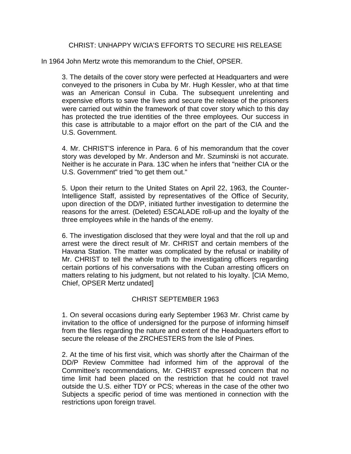#### CHRIST: UNHAPPY W/CIA'S EFFORTS TO SECURE HIS RELEASE

In 1964 John Mertz wrote this memorandum to the Chief, OPSER.

3. The details of the cover story were perfected at Headquarters and were conveyed to the prisoners in Cuba by Mr. Hugh Kessler, who at that time was an American Consul in Cuba. The subsequent unrelenting and expensive efforts to save the lives and secure the release of the prisoners were carried out within the framework of that cover story which to this day has protected the true identities of the three employees. Our success in this case is attributable to a major effort on the part of the CIA and the U.S. Government.

4. Mr. CHRIST'S inference in Para. 6 of his memorandum that the cover story was developed by Mr. Anderson and Mr. Szuminski is not accurate. Neither is he accurate in Para. 13C when he infers that "neither CIA or the U.S. Government" tried "to get them out."

5. Upon their return to the United States on April 22, 1963, the Counter-Intelligence Staff, assisted by representatives of the Office of Security, upon direction of the DD/P, initiated further investigation to determine the reasons for the arrest. (Deleted) ESCALADE roll-up and the loyalty of the three employees while in the hands of the enemy.

6. The investigation disclosed that they were loyal and that the roll up and arrest were the direct result of Mr. CHRIST and certain members of the Havana Station. The matter was complicated by the refusal or inability of Mr. CHRIST to tell the whole truth to the investigating officers regarding certain portions of his conversations with the Cuban arresting officers on matters relating to his judgment, but not related to his loyalty. [CIA Memo, Chief, OPSER Mertz undated]

#### CHRIST SEPTEMBER 1963

1. On several occasions during early September 1963 Mr. Christ came by invitation to the office of undersigned for the purpose of informing himself from the files regarding the nature and extent of the Headquarters effort to secure the release of the ZRCHESTERS from the Isle of Pines.

2. At the time of his first visit, which was shortly after the Chairman of the DD/P Review Committee had informed him of the approval of the Committee's recommendations, Mr. CHRIST expressed concern that no time limit had been placed on the restriction that he could not travel outside the U.S. either TDY or PCS; whereas in the case of the other two Subjects a specific period of time was mentioned in connection with the restrictions upon foreign travel.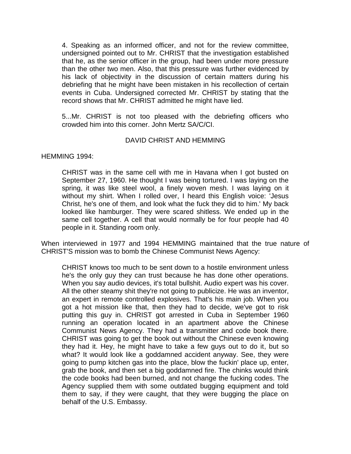4. Speaking as an informed officer, and not for the review committee, undersigned pointed out to Mr. CHRIST that the investigation established that he, as the senior officer in the group, had been under more pressure than the other two men. Also, that this pressure was further evidenced by his lack of objectivity in the discussion of certain matters during his debriefing that he might have been mistaken in his recollection of certain events in Cuba. Undersigned corrected Mr. CHRIST by stating that the record shows that Mr. CHRIST admitted he might have lied.

5...Mr. CHRIST is not too pleased with the debriefing officers who crowded him into this corner. John Mertz SA/C/CI.

#### DAVID CHRIST AND HEMMING

HEMMING 1994:

CHRIST was in the same cell with me in Havana when I got busted on September 27, 1960. He thought I was being tortured. I was laying on the spring, it was like steel wool, a finely woven mesh. I was laying on it without my shirt. When I rolled over, I heard this English voice: 'Jesus Christ, he's one of them, and look what the fuck they did to him.' My back looked like hamburger. They were scared shitless. We ended up in the same cell together. A cell that would normally be for four people had 40 people in it. Standing room only.

When interviewed in 1977 and 1994 HEMMING maintained that the true nature of CHRIST'S mission was to bomb the Chinese Communist News Agency:

CHRIST knows too much to be sent down to a hostile environment unless he's the only guy they can trust because he has done other operations. When you say audio devices, it's total bullshit. Audio expert was his cover. All the other steamy shit they're not going to publicize. He was an inventor, an expert in remote controlled explosives. That's his main job. When you got a hot mission like that, then they had to decide, we've got to risk putting this guy in. CHRIST got arrested in Cuba in September 1960 running an operation located in an apartment above the Chinese Communist News Agency. They had a transmitter and code book there. CHRIST was going to get the book out without the Chinese even knowing they had it. Hey, he might have to take a few guys out to do it, but so what? It would look like a goddamned accident anyway. See, they were going to pump kitchen gas into the place, blow the fuckin' place up, enter, grab the book, and then set a big goddamned fire. The chinks would think the code books had been burned, and not change the fucking codes. The Agency supplied them with some outdated bugging equipment and told them to say, if they were caught, that they were bugging the place on behalf of the U.S. Embassy.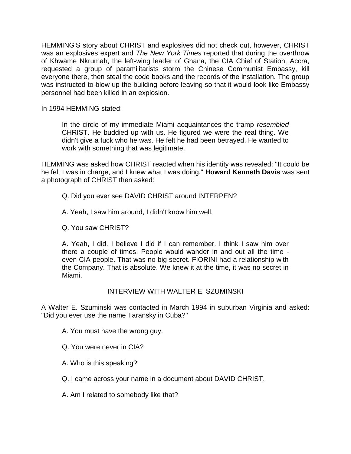HEMMING'S story about CHRIST and explosives did not check out, however, CHRIST was an explosives expert and *The New York Times* reported that during the overthrow of Khwame Nkrumah, the left-wing leader of Ghana, the CIA Chief of Station, Accra, requested a group of paramilitarists storm the Chinese Communist Embassy, kill everyone there, then steal the code books and the records of the installation. The group was instructed to blow up the building before leaving so that it would look like Embassy personnel had been killed in an explosion.

In 1994 HEMMING stated:

In the circle of my immediate Miami acquaintances the tramp *resembled*  CHRIST. He buddied up with us. He figured we were the real thing. We didn't give a fuck who he was. He felt he had been betrayed. He wanted to work with something that was legitimate.

HEMMING was asked how CHRIST reacted when his identity was revealed: "It could be he felt I was in charge, and I knew what I was doing." **Howard Kenneth Davis** was sent a photograph of CHRIST then asked:

- Q. Did you ever see DAVID CHRIST around INTERPEN?
- A. Yeah, I saw him around, I didn't know him well.
- Q. You saw CHRIST?

A. Yeah, I did. I believe I did if I can remember. I think I saw him over there a couple of times. People would wander in and out all the time even CIA people. That was no big secret. FIORINI had a relationship with the Company. That is absolute. We knew it at the time, it was no secret in Miami.

# INTERVIEW WITH WALTER E. SZUMINSKI

A Walter E. Szuminski was contacted in March 1994 in suburban Virginia and asked: "Did you ever use the name Taransky in Cuba?"

- A. You must have the wrong guy.
- Q. You were never in CIA?
- A. Who is this speaking?
- Q. I came across your name in a document about DAVID CHRIST.
- A. Am I related to somebody like that?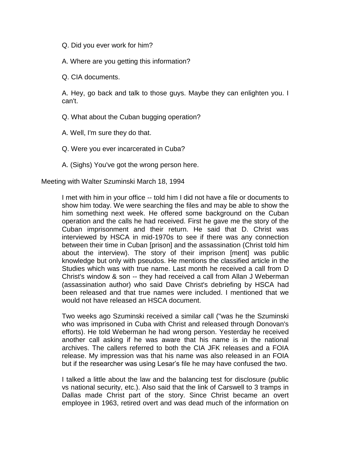Q. Did you ever work for him?

A. Where are you getting this information?

Q. CIA documents.

A. Hey, go back and talk to those guys. Maybe they can enlighten you. I can't.

Q. What about the Cuban bugging operation?

A. Well, I'm sure they do that.

Q. Were you ever incarcerated in Cuba?

A. (Sighs) You've got the wrong person here.

Meeting with Walter Szuminski March 18, 1994

I met with him in your office -- told him I did not have a file or documents to show him today. We were searching the files and may be able to show the him something next week. He offered some background on the Cuban operation and the calls he had received. First he gave me the story of the Cuban imprisonment and their return. He said that D. Christ was interviewed by HSCA in mid-1970s to see if there was any connection between their time in Cuban [prison] and the assassination (Christ told him about the interview). The story of their imprison [ment] was public knowledge but only with pseudos. He mentions the classified article in the Studies which was with true name. Last month he received a call from D Christ's window & son -- they had received a call from Allan J Weberman (assassination author) who said Dave Christ's debriefing by HSCA had been released and that true names were included. I mentioned that we would not have released an HSCA document.

Two weeks ago Szuminski received a similar call ("was he the Szuminski who was imprisoned in Cuba with Christ and released through Donovan's efforts). He told Weberman he had wrong person. Yesterday he received another call asking if he was aware that his name is in the national archives. The callers referred to both the CIA JFK releases and a FOIA release. My impression was that his name was also released in an FOIA but if the researcher was using Lesar's file he may have confused the two.

I talked a little about the law and the balancing test for disclosure (public vs national security, etc.). Also said that the link of Carswell to 3 tramps in Dallas made Christ part of the story. Since Christ became an overt employee in 1963, retired overt and was dead much of the information on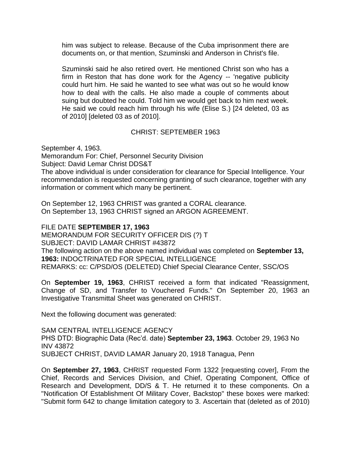him was subject to release. Because of the Cuba imprisonment there are documents on, or that mention, Szuminski and Anderson in Christ's file.

Szuminski said he also retired overt. He mentioned Christ son who has a firm in Reston that has done work for the Agency -- 'negative publicity could hurt him. He said he wanted to see what was out so he would know how to deal with the calls. He also made a couple of comments about suing but doubted he could. Told him we would get back to him next week. He said we could reach him through his wife (Elise S.) [24 deleted, 03 as of 2010] [deleted 03 as of 2010].

#### CHRIST: SEPTEMBER 1963

September 4, 1963.

Memorandum For: Chief, Personnel Security Division

Subject: David Lemar Christ DDS&T

The above individual is under consideration for clearance for Special Intelligence. Your recommendation is requested concerning granting of such clearance, together with any information or comment which many be pertinent.

On September 12, 1963 CHRIST was granted a CORAL clearance. On September 13, 1963 CHRIST signed an ARGON AGREEMENT.

#### FILE DATE **SEPTEMBER 17, 1963**

MEMORANDUM FOR SECURITY OFFICER DIS (?) T SUBJECT: DAVID LAMAR CHRIST #43872 The following action on the above named individual was completed on **September 13, 1963:** INDOCTRINATED FOR SPECIAL INTELLIGENCE REMARKS: cc: C/PSD/OS (DELETED) Chief Special Clearance Center, SSC/OS

On **September 19, 1963**, CHRIST received a form that indicated "Reassignment, Change of SD, and Transfer to Vouchered Funds." On September 20, 1963 an Investigative Transmittal Sheet was generated on CHRIST.

Next the following document was generated:

SAM CENTRAL INTELLIGENCE AGENCY PHS DTD: Biographic Data (Rec'd. date) **September 23, 1963**. October 29, 1963 No INV 43872 SUBJECT CHRIST, DAVID LAMAR January 20, 1918 Tanagua, Penn

On **September 27, 1963**, CHRIST requested Form 1322 [requesting cover], From the Chief, Records and Services Division, and Chief, Operating Component, Office of Research and Development, DD/S & T. He returned it to these components. On a "Notification Of Establishment Of Military Cover, Backstop" these boxes were marked: "Submit form 642 to change limitation category to 3. Ascertain that (deleted as of 2010)